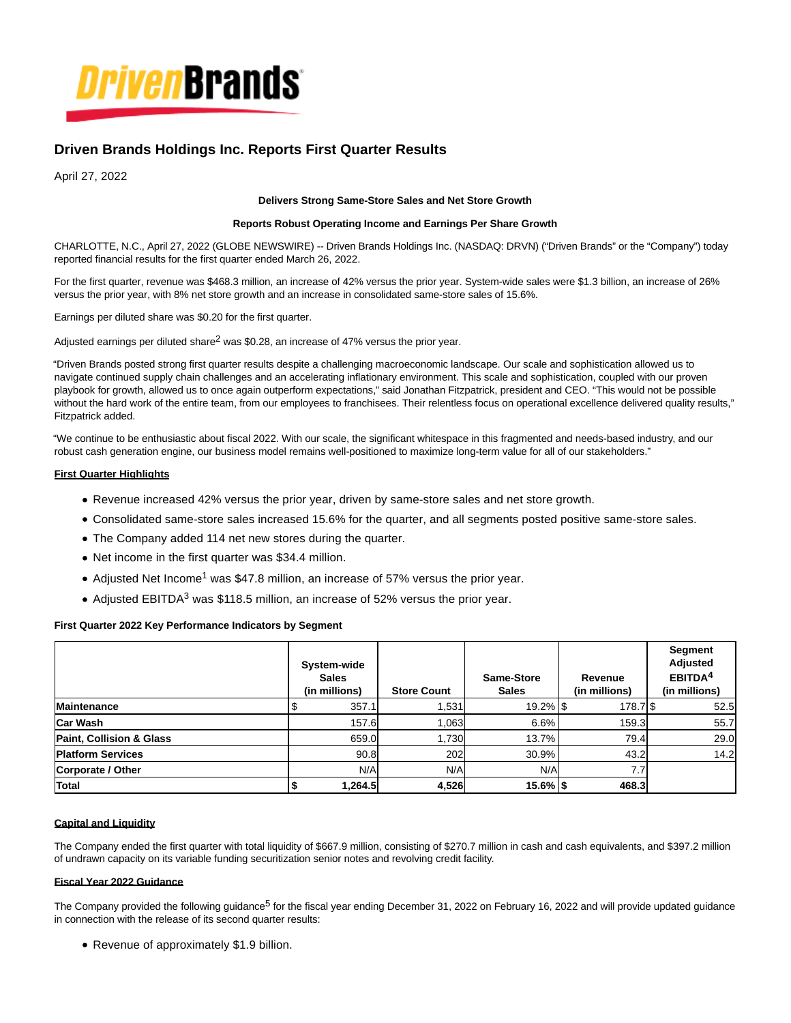

# **Driven Brands Holdings Inc. Reports First Quarter Results**

April 27, 2022

#### **Delivers Strong Same-Store Sales and Net Store Growth**

#### **Reports Robust Operating Income and Earnings Per Share Growth**

CHARLOTTE, N.C., April 27, 2022 (GLOBE NEWSWIRE) -- Driven Brands Holdings Inc. (NASDAQ: DRVN) ("Driven Brands" or the "Company") today reported financial results for the first quarter ended March 26, 2022.

For the first quarter, revenue was \$468.3 million, an increase of 42% versus the prior year. System-wide sales were \$1.3 billion, an increase of 26% versus the prior year, with 8% net store growth and an increase in consolidated same-store sales of 15.6%.

Earnings per diluted share was \$0.20 for the first quarter.

Adjusted earnings per diluted share<sup>2</sup> was \$0.28, an increase of 47% versus the prior year.

"Driven Brands posted strong first quarter results despite a challenging macroeconomic landscape. Our scale and sophistication allowed us to navigate continued supply chain challenges and an accelerating inflationary environment. This scale and sophistication, coupled with our proven playbook for growth, allowed us to once again outperform expectations," said Jonathan Fitzpatrick, president and CEO. "This would not be possible without the hard work of the entire team, from our employees to franchisees. Their relentless focus on operational excellence delivered quality results," Fitzpatrick added.

"We continue to be enthusiastic about fiscal 2022. With our scale, the significant whitespace in this fragmented and needs-based industry, and our robust cash generation engine, our business model remains well-positioned to maximize long-term value for all of our stakeholders."

# **First Quarter Highlights**

- Revenue increased 42% versus the prior year, driven by same-store sales and net store growth.
- Consolidated same-store sales increased 15.6% for the quarter, and all segments posted positive same-store sales.
- The Company added 114 net new stores during the quarter.
- Net income in the first quarter was \$34.4 million.
- Adjusted Net Income<sup>1</sup> was \$47.8 million, an increase of 57% versus the prior year.
- Adjusted EBITDA<sup>3</sup> was \$118.5 million, an increase of 52% versus the prior year.

### **First Quarter 2022 Key Performance Indicators by Segment**

|                          | System-wide<br><b>Sales</b><br>(in millions) | <b>Store Count</b> | Same-Store<br><b>Sales</b> | Revenue<br>(in millions) | Segment<br>Adjusted<br>EBITDA <sup>4</sup><br>(in millions) |
|--------------------------|----------------------------------------------|--------------------|----------------------------|--------------------------|-------------------------------------------------------------|
| <b>Maintenance</b>       | 357.1                                        | 1,531              | 19.2% \\$                  | 178.7 \$                 | 52.5                                                        |
| <b>Car Wash</b>          | 157.6                                        | 1,063              | 6.6%                       | 159.3                    | 55.7                                                        |
| Paint, Collision & Glass | 659.0                                        | 1,730              | 13.7%                      | 79.4                     | 29.0                                                        |
| <b>Platform Services</b> | 90.8                                         | 202                | 30.9%                      | 43.2                     | 14.2                                                        |
| Corporate / Other        | N/A                                          | N/A                | N/A                        | 7.7                      |                                                             |
| <b>Total</b>             | 1,264.5                                      | 4,526              | $15.6\%$ S                 | 468.3                    |                                                             |

### **Capital and Liquidity**

The Company ended the first quarter with total liquidity of \$667.9 million, consisting of \$270.7 million in cash and cash equivalents, and \$397.2 million of undrawn capacity on its variable funding securitization senior notes and revolving credit facility.

### **Fiscal Year 2022 Guidance**

The Company provided the following quidance<sup>5</sup> for the fiscal year ending December 31, 2022 on February 16, 2022 and will provide updated quidance in connection with the release of its second quarter results:

• Revenue of approximately \$1.9 billion.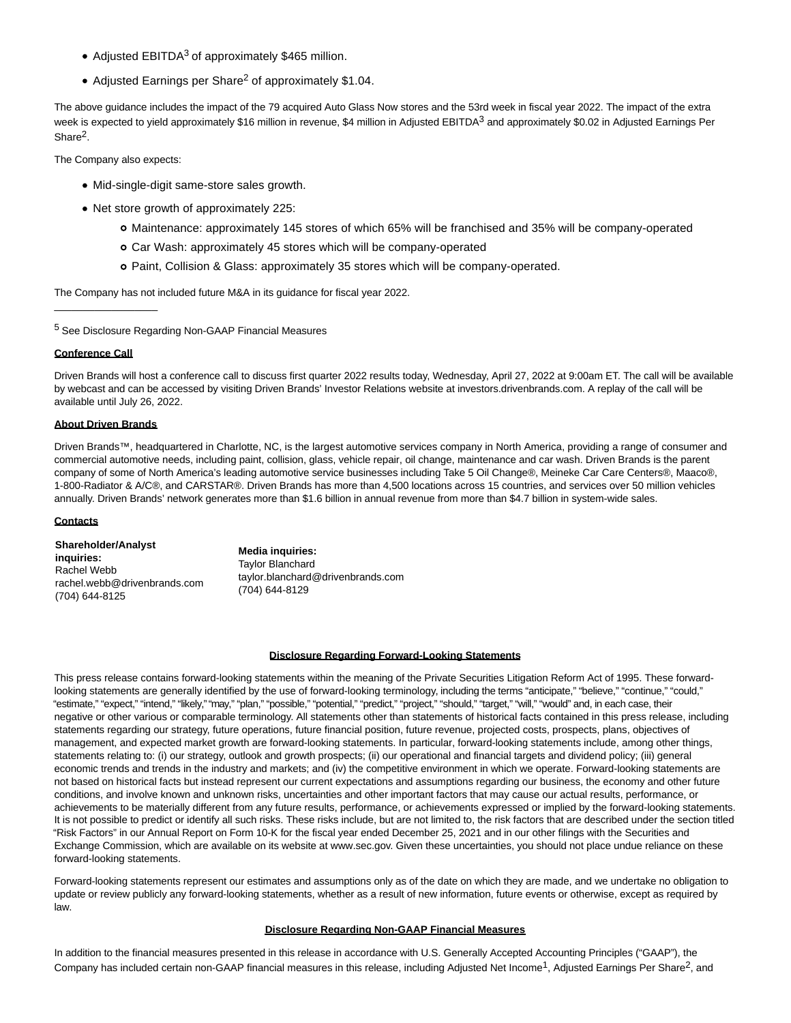- Adjusted EBITDA<sup>3</sup> of approximately \$465 million.
- Adjusted Earnings per Share<sup>2</sup> of approximately \$1.04.

The above guidance includes the impact of the 79 acquired Auto Glass Now stores and the 53rd week in fiscal year 2022. The impact of the extra week is expected to yield approximately \$16 million in revenue, \$4 million in Adjusted EBITDA<sup>3</sup> and approximately \$0.02 in Adjusted Earnings Per Share<sup>2</sup>.

The Company also expects:

- Mid-single-digit same-store sales growth.
- Net store growth of approximately 225:
	- Maintenance: approximately 145 stores of which 65% will be franchised and 35% will be company-operated
	- Car Wash: approximately 45 stores which will be company-operated
	- Paint, Collision & Glass: approximately 35 stores which will be company-operated.

The Company has not included future M&A in its guidance for fiscal year 2022.

5 See Disclosure Regarding Non-GAAP Financial Measures

#### **Conference Call**

 $\mathcal{L}=\mathcal{L}$  , we can also the set of the set of the set of the set of the set of the set of the set of the set of the set of the set of the set of the set of the set of the set of the set of the set of the set of the s

Driven Brands will host a conference call to discuss first quarter 2022 results today, Wednesday, April 27, 2022 at 9:00am ET. The call will be available by webcast and can be accessed by visiting Driven Brands' Investor Relations website at investors.drivenbrands.com. A replay of the call will be available until July 26, 2022.

### **About Driven Brands**

Driven Brands™, headquartered in Charlotte, NC, is the largest automotive services company in North America, providing a range of consumer and commercial automotive needs, including paint, collision, glass, vehicle repair, oil change, maintenance and car wash. Driven Brands is the parent company of some of North America's leading automotive service businesses including Take 5 Oil Change®, Meineke Car Care Centers®, Maaco®, 1-800-Radiator & A/C®, and CARSTAR®. Driven Brands has more than 4,500 locations across 15 countries, and services over 50 million vehicles annually. Driven Brands' network generates more than \$1.6 billion in annual revenue from more than \$4.7 billion in system-wide sales.

#### **Contacts**

**Shareholder/Analyst inquiries:** Rachel Webb rachel.webb@drivenbrands.com (704) 644-8125

**Media inquiries:** Taylor Blanchard taylor.blanchard@drivenbrands.com (704) 644-8129

#### **Disclosure Regarding Forward-Looking Statements**

This press release contains forward-looking statements within the meaning of the Private Securities Litigation Reform Act of 1995. These forwardlooking statements are generally identified by the use of forward-looking terminology, including the terms "anticipate," "believe," "continue," "could," "estimate," "expect," "intend," "likely," "may," "plan," "possible," "potential," "predict," "project," "should," "target," "will," "would" and, in each case, their negative or other various or comparable terminology. All statements other than statements of historical facts contained in this press release, including statements regarding our strategy, future operations, future financial position, future revenue, projected costs, prospects, plans, objectives of management, and expected market growth are forward-looking statements. In particular, forward-looking statements include, among other things, statements relating to: (i) our strategy, outlook and growth prospects; (ii) our operational and financial targets and dividend policy; (iii) general economic trends and trends in the industry and markets; and (iv) the competitive environment in which we operate. Forward-looking statements are not based on historical facts but instead represent our current expectations and assumptions regarding our business, the economy and other future conditions, and involve known and unknown risks, uncertainties and other important factors that may cause our actual results, performance, or achievements to be materially different from any future results, performance, or achievements expressed or implied by the forward-looking statements. It is not possible to predict or identify all such risks. These risks include, but are not limited to, the risk factors that are described under the section titled "Risk Factors" in our Annual Report on Form 10-K for the fiscal year ended December 25, 2021 and in our other filings with the Securities and Exchange Commission, which are available on its website at www.sec.gov. Given these uncertainties, you should not place undue reliance on these forward-looking statements.

Forward-looking statements represent our estimates and assumptions only as of the date on which they are made, and we undertake no obligation to update or review publicly any forward-looking statements, whether as a result of new information, future events or otherwise, except as required by law.

#### **Disclosure Regarding Non-GAAP Financial Measures**

In addition to the financial measures presented in this release in accordance with U.S. Generally Accepted Accounting Principles ("GAAP"), the Company has included certain non-GAAP financial measures in this release, including Adjusted Net Income<sup>1</sup>, Adjusted Earnings Per Share<sup>2</sup>, and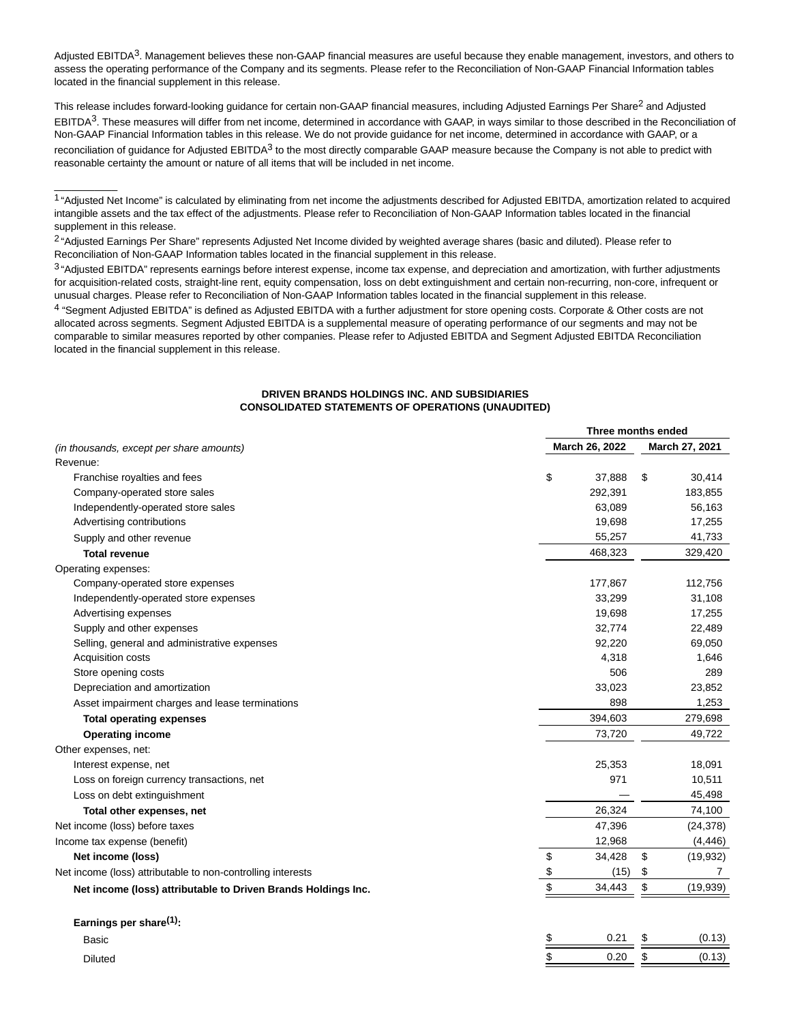Adjusted EBITDA<sup>3</sup>. Management believes these non-GAAP financial measures are useful because they enable management, investors, and others to assess the operating performance of the Company and its segments. Please refer to the Reconciliation of Non-GAAP Financial Information tables located in the financial supplement in this release.

This release includes forward-looking guidance for certain non-GAAP financial measures, including Adjusted Earnings Per Share<sup>2</sup> and Adjusted EBITDA3. These measures will differ from net income, determined in accordance with GAAP, in ways similar to those described in the Reconciliation of Non-GAAP Financial Information tables in this release. We do not provide guidance for net income, determined in accordance with GAAP, or a reconciliation of guidance for Adjusted EBITDA<sup>3</sup> to the most directly comparable GAAP measure because the Company is not able to predict with reasonable certainty the amount or nature of all items that will be included in net income.

\_\_\_\_\_\_\_\_\_\_\_

## **DRIVEN BRANDS HOLDINGS INC. AND SUBSIDIARIES CONSOLIDATED STATEMENTS OF OPERATIONS (UNAUDITED)**

|                                                               | Three months ended |    |                |  |  |  |  |
|---------------------------------------------------------------|--------------------|----|----------------|--|--|--|--|
| (in thousands, except per share amounts)                      | March 26, 2022     |    | March 27, 2021 |  |  |  |  |
| Revenue:                                                      |                    |    |                |  |  |  |  |
| Franchise royalties and fees                                  | \$<br>37,888       | \$ | 30,414         |  |  |  |  |
| Company-operated store sales                                  | 292,391            |    | 183,855        |  |  |  |  |
| Independently-operated store sales                            | 63,089             |    | 56,163         |  |  |  |  |
| Advertising contributions                                     | 19,698             |    | 17,255         |  |  |  |  |
| Supply and other revenue                                      | 55,257             |    | 41,733         |  |  |  |  |
| <b>Total revenue</b>                                          | 468,323            |    | 329,420        |  |  |  |  |
| Operating expenses:                                           |                    |    |                |  |  |  |  |
| Company-operated store expenses                               | 177,867            |    | 112,756        |  |  |  |  |
| Independently-operated store expenses                         | 33,299             |    | 31,108         |  |  |  |  |
| Advertising expenses                                          | 19,698             |    | 17,255         |  |  |  |  |
| Supply and other expenses                                     | 32,774             |    | 22,489         |  |  |  |  |
| Selling, general and administrative expenses                  | 92,220             |    | 69,050         |  |  |  |  |
| Acquisition costs                                             | 4,318              |    | 1,646          |  |  |  |  |
| Store opening costs                                           | 506                |    | 289            |  |  |  |  |
| Depreciation and amortization                                 | 33,023             |    | 23,852         |  |  |  |  |
| Asset impairment charges and lease terminations               | 898                |    | 1,253          |  |  |  |  |
| <b>Total operating expenses</b>                               | 394,603            |    | 279,698        |  |  |  |  |
| <b>Operating income</b>                                       | 73,720             |    | 49,722         |  |  |  |  |
| Other expenses, net:                                          |                    |    |                |  |  |  |  |
| Interest expense, net                                         | 25,353             |    | 18,091         |  |  |  |  |
| Loss on foreign currency transactions, net                    | 971                |    | 10,511         |  |  |  |  |
| Loss on debt extinguishment                                   |                    |    | 45,498         |  |  |  |  |
| Total other expenses, net                                     | 26,324             |    | 74,100         |  |  |  |  |
| Net income (loss) before taxes                                | 47,396             |    | (24, 378)      |  |  |  |  |
| Income tax expense (benefit)                                  | 12,968             |    | (4, 446)       |  |  |  |  |
| Net income (loss)                                             | \$<br>34,428       | \$ | (19, 932)      |  |  |  |  |
| Net income (loss) attributable to non-controlling interests   | \$<br>(15)         | \$ | 7              |  |  |  |  |
| Net income (loss) attributable to Driven Brands Holdings Inc. | \$<br>34,443       | \$ | (19, 939)      |  |  |  |  |
| Earnings per share <sup>(1)</sup> :                           |                    |    |                |  |  |  |  |
| <b>Basic</b>                                                  | \$<br>0.21         | \$ | (0.13)         |  |  |  |  |
| <b>Diluted</b>                                                | \$<br>0.20         | \$ | (0.13)         |  |  |  |  |
|                                                               |                    |    |                |  |  |  |  |

<sup>&</sup>lt;sup>1</sup> "Adjusted Net Income" is calculated by eliminating from net income the adjustments described for Adjusted EBITDA, amortization related to acquired intangible assets and the tax effect of the adjustments. Please refer to Reconciliation of Non-GAAP Information tables located in the financial supplement in this release.

<sup>&</sup>lt;sup>2</sup> "Adjusted Earnings Per Share" represents Adjusted Net Income divided by weighted average shares (basic and diluted). Please refer to Reconciliation of Non-GAAP Information tables located in the financial supplement in this release.

<sup>&</sup>lt;sup>3</sup> "Adjusted EBITDA" represents earnings before interest expense, income tax expense, and depreciation and amortization, with further adjustments for acquisition-related costs, straight-line rent, equity compensation, loss on debt extinguishment and certain non-recurring, non-core, infrequent or unusual charges. Please refer to Reconciliation of Non-GAAP Information tables located in the financial supplement in this release.

<sup>4</sup> "Segment Adjusted EBITDA" is defined as Adjusted EBITDA with a further adjustment for store opening costs. Corporate & Other costs are not allocated across segments. Segment Adjusted EBITDA is a supplemental measure of operating performance of our segments and may not be comparable to similar measures reported by other companies. Please refer to Adjusted EBITDA and Segment Adjusted EBITDA Reconciliation located in the financial supplement in this release.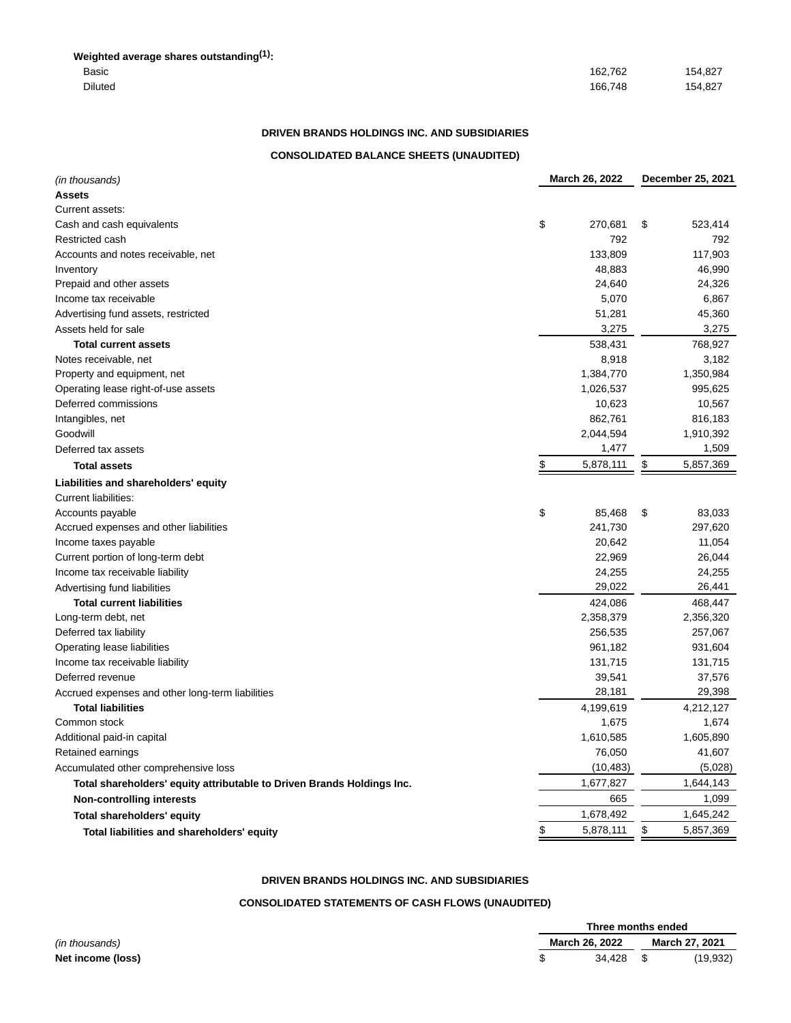| 162,762 | 154,827 |
|---------|---------|
| 166,748 | 154,827 |

# **DRIVEN BRANDS HOLDINGS INC. AND SUBSIDIARIES**

# **CONSOLIDATED BALANCE SHEETS (UNAUDITED)**

| (in thousands)                                                         | March 26, 2022  | December 25, 2021 |
|------------------------------------------------------------------------|-----------------|-------------------|
| <b>Assets</b>                                                          |                 |                   |
| Current assets:                                                        |                 |                   |
| Cash and cash equivalents                                              | \$<br>270,681   | \$<br>523,414     |
| Restricted cash                                                        | 792             | 792               |
| Accounts and notes receivable, net                                     | 133,809         | 117,903           |
| Inventory                                                              | 48,883          | 46,990            |
| Prepaid and other assets                                               | 24,640          | 24,326            |
| Income tax receivable                                                  | 5,070           | 6,867             |
| Advertising fund assets, restricted                                    | 51,281          | 45,360            |
| Assets held for sale                                                   | 3,275           | 3,275             |
| <b>Total current assets</b>                                            | 538,431         | 768,927           |
| Notes receivable, net                                                  | 8,918           | 3,182             |
| Property and equipment, net                                            | 1,384,770       | 1,350,984         |
| Operating lease right-of-use assets                                    | 1,026,537       | 995,625           |
| Deferred commissions                                                   | 10,623          | 10,567            |
| Intangibles, net                                                       | 862,761         | 816,183           |
| Goodwill                                                               | 2,044,594       | 1,910,392         |
| Deferred tax assets                                                    | 1,477           | 1,509             |
| <b>Total assets</b>                                                    | \$<br>5,878,111 | \$<br>5,857,369   |
| Liabilities and shareholders' equity                                   |                 |                   |
| <b>Current liabilities:</b>                                            |                 |                   |
| Accounts payable                                                       | \$<br>85,468    | \$<br>83,033      |
| Accrued expenses and other liabilities                                 | 241,730         | 297,620           |
| Income taxes payable                                                   | 20,642          | 11,054            |
| Current portion of long-term debt                                      | 22,969          | 26,044            |
| Income tax receivable liability                                        | 24,255          | 24,255            |
| Advertising fund liabilities                                           | 29,022          | 26,441            |
| <b>Total current liabilities</b>                                       | 424,086         | 468,447           |
| Long-term debt, net                                                    | 2,358,379       | 2,356,320         |
| Deferred tax liability                                                 | 256,535         | 257,067           |
| Operating lease liabilities                                            | 961,182         | 931,604           |
| Income tax receivable liability                                        | 131,715         | 131,715           |
| Deferred revenue                                                       | 39,541          | 37,576            |
| Accrued expenses and other long-term liabilities                       | 28,181          | 29,398            |
| <b>Total liabilities</b>                                               | 4,199,619       | 4,212,127         |
| Common stock                                                           | 1,675           | 1,674             |
| Additional paid-in capital                                             | 1,610,585       | 1,605,890         |
| Retained earnings                                                      | 76,050          | 41,607            |
| Accumulated other comprehensive loss                                   | (10, 483)       | (5,028)           |
| Total shareholders' equity attributable to Driven Brands Holdings Inc. | 1,677,827       | 1,644,143         |
| <b>Non-controlling interests</b>                                       | 665             | 1,099             |
| Total shareholders' equity                                             | 1,678,492       | 1,645,242         |
| Total liabilities and shareholders' equity                             | \$<br>5,878,111 | \$<br>5,857,369   |

# **DRIVEN BRANDS HOLDINGS INC. AND SUBSIDIARIES**

# **CONSOLIDATED STATEMENTS OF CASH FLOWS (UNAUDITED)**

|                   |  | Three months ended |                |           |  |
|-------------------|--|--------------------|----------------|-----------|--|
| (in thousands)    |  | March 26, 2022     | March 27, 2021 |           |  |
| Net income (loss) |  | 34.428 \$          |                | (19, 932) |  |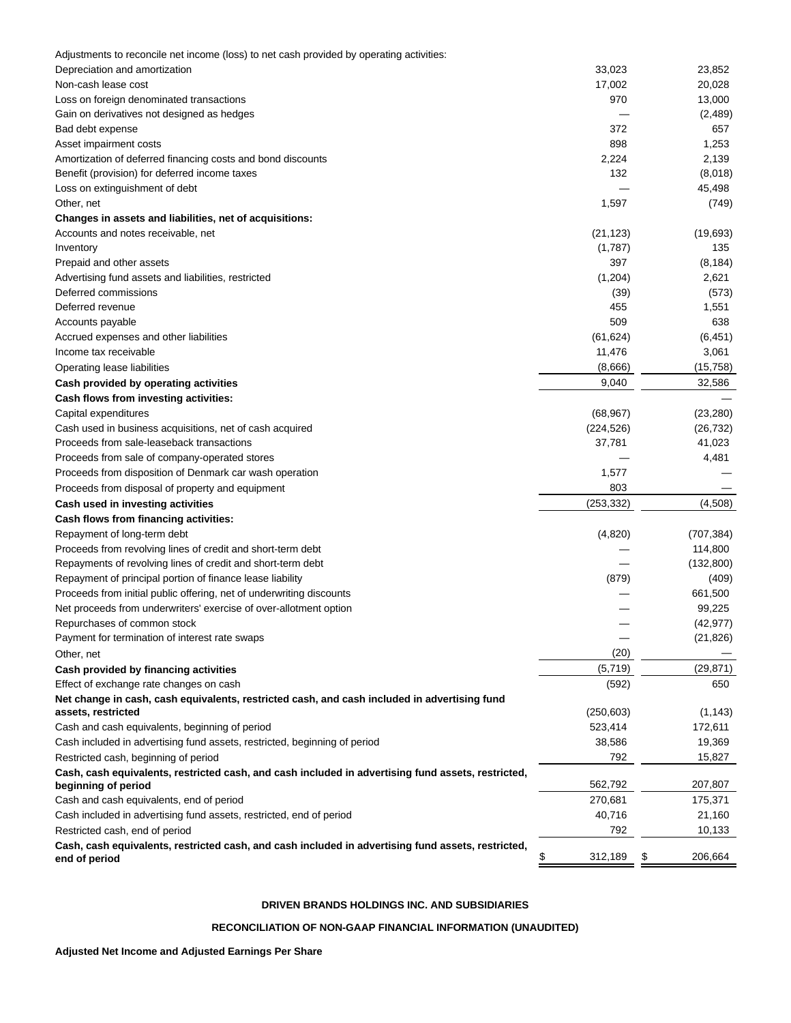| Adjustments to reconcile net income (loss) to net cash provided by operating activities:                                  |               |               |
|---------------------------------------------------------------------------------------------------------------------------|---------------|---------------|
| Depreciation and amortization                                                                                             | 33,023        | 23,852        |
| Non-cash lease cost                                                                                                       | 17,002        | 20,028        |
| Loss on foreign denominated transactions                                                                                  | 970           | 13,000        |
| Gain on derivatives not designed as hedges                                                                                |               | (2,489)       |
| Bad debt expense                                                                                                          | 372           | 657           |
| Asset impairment costs                                                                                                    | 898           | 1,253         |
| Amortization of deferred financing costs and bond discounts                                                               | 2,224         | 2,139         |
| Benefit (provision) for deferred income taxes                                                                             | 132           | (8,018)       |
| Loss on extinguishment of debt                                                                                            |               | 45,498        |
| Other, net                                                                                                                | 1,597         | (749)         |
| Changes in assets and liabilities, net of acquisitions:                                                                   |               |               |
| Accounts and notes receivable, net                                                                                        | (21, 123)     | (19, 693)     |
| Inventory                                                                                                                 | (1,787)       | 135           |
| Prepaid and other assets                                                                                                  | 397           | (8, 184)      |
| Advertising fund assets and liabilities, restricted                                                                       | (1,204)       | 2,621         |
| Deferred commissions                                                                                                      | (39)          | (573)         |
| Deferred revenue                                                                                                          | 455           | 1,551         |
| Accounts payable                                                                                                          | 509           | 638           |
| Accrued expenses and other liabilities                                                                                    | (61, 624)     | (6, 451)      |
| Income tax receivable                                                                                                     | 11,476        | 3,061         |
| Operating lease liabilities                                                                                               | (8,666)       | (15, 758)     |
| Cash provided by operating activities                                                                                     | 9,040         | 32,586        |
| Cash flows from investing activities:                                                                                     |               |               |
| Capital expenditures                                                                                                      | (68, 967)     | (23, 280)     |
| Cash used in business acquisitions, net of cash acquired                                                                  | (224, 526)    | (26, 732)     |
| Proceeds from sale-leaseback transactions                                                                                 | 37,781        | 41,023        |
| Proceeds from sale of company-operated stores                                                                             |               | 4,481         |
| Proceeds from disposition of Denmark car wash operation                                                                   | 1,577         |               |
| Proceeds from disposal of property and equipment                                                                          | 803           |               |
| Cash used in investing activities                                                                                         | (253, 332)    | (4,508)       |
| Cash flows from financing activities:                                                                                     |               |               |
| Repayment of long-term debt                                                                                               | (4,820)       | (707, 384)    |
| Proceeds from revolving lines of credit and short-term debt                                                               |               | 114,800       |
| Repayments of revolving lines of credit and short-term debt                                                               |               | (132,800)     |
| Repayment of principal portion of finance lease liability                                                                 | (879)         | (409)         |
| Proceeds from initial public offering, net of underwriting discounts                                                      |               | 661,500       |
| Net proceeds from underwriters' exercise of over-allotment option                                                         |               | 99,225        |
| Repurchases of common stock                                                                                               |               | (42, 977)     |
| Payment for termination of interest rate swaps                                                                            |               | (21, 826)     |
| Other, net                                                                                                                | (20)          |               |
| Cash provided by financing activities                                                                                     | (5,719)       | (29, 871)     |
| Effect of exchange rate changes on cash                                                                                   | (592)         | 650           |
| Net change in cash, cash equivalents, restricted cash, and cash included in advertising fund                              |               |               |
| assets, restricted                                                                                                        | (250, 603)    | (1, 143)      |
| Cash and cash equivalents, beginning of period                                                                            | 523,414       | 172,611       |
| Cash included in advertising fund assets, restricted, beginning of period                                                 | 38,586        | 19,369        |
| Restricted cash, beginning of period                                                                                      | 792           | 15,827        |
| Cash, cash equivalents, restricted cash, and cash included in advertising fund assets, restricted,<br>beginning of period | 562,792       | 207,807       |
| Cash and cash equivalents, end of period                                                                                  | 270,681       | 175,371       |
| Cash included in advertising fund assets, restricted, end of period                                                       | 40,716        | 21,160        |
| Restricted cash, end of period                                                                                            | 792           | 10,133        |
| Cash, cash equivalents, restricted cash, and cash included in advertising fund assets, restricted,                        |               |               |
| end of period                                                                                                             | \$<br>312,189 | \$<br>206,664 |

# **DRIVEN BRANDS HOLDINGS INC. AND SUBSIDIARIES**

# **RECONCILIATION OF NON-GAAP FINANCIAL INFORMATION (UNAUDITED)**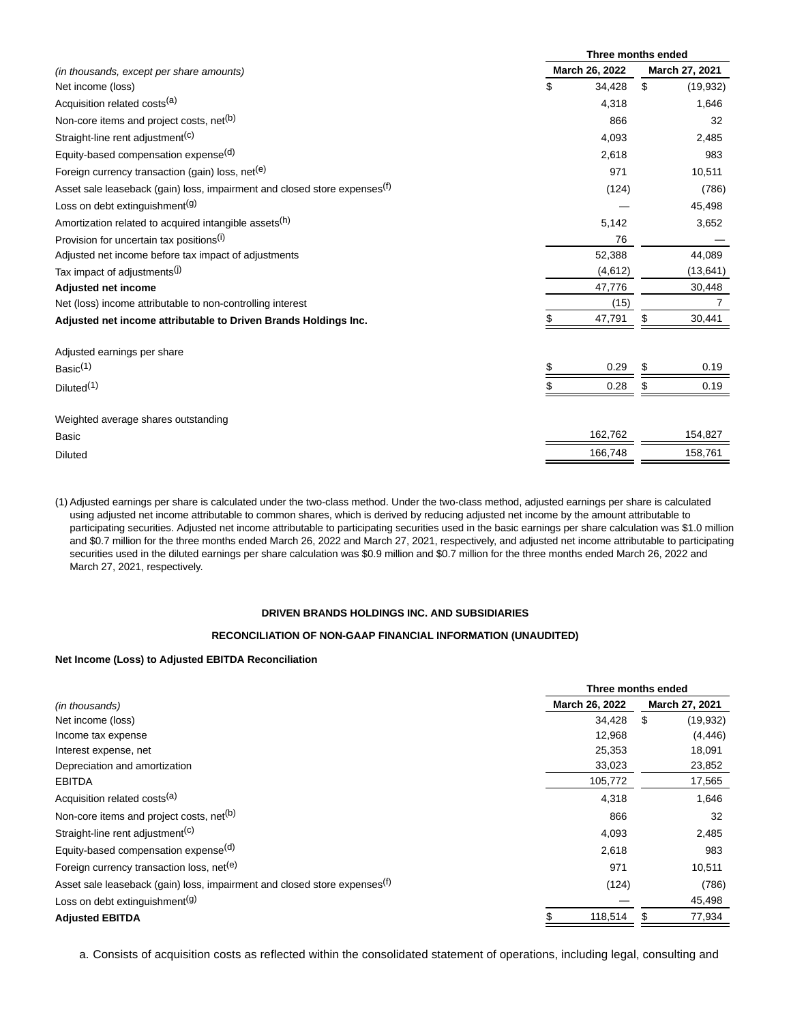|                                                                                       | Three months ended |                |                |           |  |  |  |  |
|---------------------------------------------------------------------------------------|--------------------|----------------|----------------|-----------|--|--|--|--|
| (in thousands, except per share amounts)                                              |                    | March 26, 2022 | March 27, 2021 |           |  |  |  |  |
| Net income (loss)                                                                     | \$                 | 34,428         | \$             | (19, 932) |  |  |  |  |
| Acquisition related costs <sup>(a)</sup>                                              |                    | 4,318          |                | 1,646     |  |  |  |  |
| Non-core items and project costs, net <sup>(b)</sup>                                  |                    | 866            |                | 32        |  |  |  |  |
| Straight-line rent adjustment <sup>(c)</sup>                                          |                    | 4,093          |                | 2,485     |  |  |  |  |
| Equity-based compensation expense <sup>(d)</sup>                                      |                    | 2,618          |                | 983       |  |  |  |  |
| Foreign currency transaction (gain) loss, net <sup>(e)</sup>                          |                    | 971            |                | 10,511    |  |  |  |  |
| Asset sale leaseback (gain) loss, impairment and closed store expenses <sup>(f)</sup> |                    | (124)          |                | (786)     |  |  |  |  |
| Loss on debt extinguishment <sup>(g)</sup>                                            |                    |                |                | 45,498    |  |  |  |  |
| Amortization related to acquired intangible assets <sup>(h)</sup>                     |                    | 5,142          |                | 3,652     |  |  |  |  |
| Provision for uncertain tax positions <sup>(i)</sup>                                  |                    | 76             |                |           |  |  |  |  |
| Adjusted net income before tax impact of adjustments                                  |                    | 52,388         |                | 44,089    |  |  |  |  |
| Tax impact of adjustments <sup>(j)</sup>                                              |                    | (4,612)        |                | (13, 641) |  |  |  |  |
| <b>Adjusted net income</b>                                                            |                    | 47,776         |                | 30,448    |  |  |  |  |
| Net (loss) income attributable to non-controlling interest                            |                    | (15)           |                | 7         |  |  |  |  |
| Adjusted net income attributable to Driven Brands Holdings Inc.                       |                    | 47,791         | \$             | 30,441    |  |  |  |  |
| Adjusted earnings per share                                                           |                    |                |                |           |  |  |  |  |
| Basic <sup>(1)</sup>                                                                  |                    | 0.29           | \$             | 0.19      |  |  |  |  |
| Diluted <sup>(1)</sup>                                                                |                    | 0.28           |                | 0.19      |  |  |  |  |
| Weighted average shares outstanding                                                   |                    |                |                |           |  |  |  |  |
| Basic                                                                                 |                    | 162,762        |                | 154,827   |  |  |  |  |
| <b>Diluted</b>                                                                        |                    | 166,748        |                | 158,761   |  |  |  |  |
|                                                                                       |                    |                |                |           |  |  |  |  |

(1) Adjusted earnings per share is calculated under the two-class method. Under the two-class method, adjusted earnings per share is calculated using adjusted net income attributable to common shares, which is derived by reducing adjusted net income by the amount attributable to participating securities. Adjusted net income attributable to participating securities used in the basic earnings per share calculation was \$1.0 million and \$0.7 million for the three months ended March 26, 2022 and March 27, 2021, respectively, and adjusted net income attributable to participating securities used in the diluted earnings per share calculation was \$0.9 million and \$0.7 million for the three months ended March 26, 2022 and March 27, 2021, respectively.

# **DRIVEN BRANDS HOLDINGS INC. AND SUBSIDIARIES**

# **RECONCILIATION OF NON-GAAP FINANCIAL INFORMATION (UNAUDITED)**

### **Net Income (Loss) to Adjusted EBITDA Reconciliation**

|                                                                                       | Three months ended |                 |  |  |  |  |
|---------------------------------------------------------------------------------------|--------------------|-----------------|--|--|--|--|
| (in thousands)                                                                        | March 26, 2022     | March 27, 2021  |  |  |  |  |
| Net income (loss)                                                                     | 34,428             | (19, 932)<br>\$ |  |  |  |  |
| Income tax expense                                                                    | 12,968             | (4, 446)        |  |  |  |  |
| Interest expense, net                                                                 | 25,353             | 18,091          |  |  |  |  |
| Depreciation and amortization                                                         | 33,023             | 23,852          |  |  |  |  |
| <b>EBITDA</b>                                                                         | 105,772            | 17,565          |  |  |  |  |
| Acquisition related costs <sup>(a)</sup>                                              | 4,318              | 1,646           |  |  |  |  |
| Non-core items and project costs, net <sup>(b)</sup>                                  | 866                | 32              |  |  |  |  |
| Straight-line rent adjustment <sup>(c)</sup>                                          | 4,093              | 2,485           |  |  |  |  |
| Equity-based compensation expense <sup>(d)</sup>                                      | 2,618              | 983             |  |  |  |  |
| Foreign currency transaction loss, net <sup>(e)</sup>                                 | 971                | 10,511          |  |  |  |  |
| Asset sale leaseback (gain) loss, impairment and closed store expenses <sup>(f)</sup> | (124)              | (786)           |  |  |  |  |
| Loss on debt extinguishment <sup>(g)</sup>                                            |                    | 45,498          |  |  |  |  |
| <b>Adjusted EBITDA</b>                                                                | 118,514            | 77,934          |  |  |  |  |

a. Consists of acquisition costs as reflected within the consolidated statement of operations, including legal, consulting and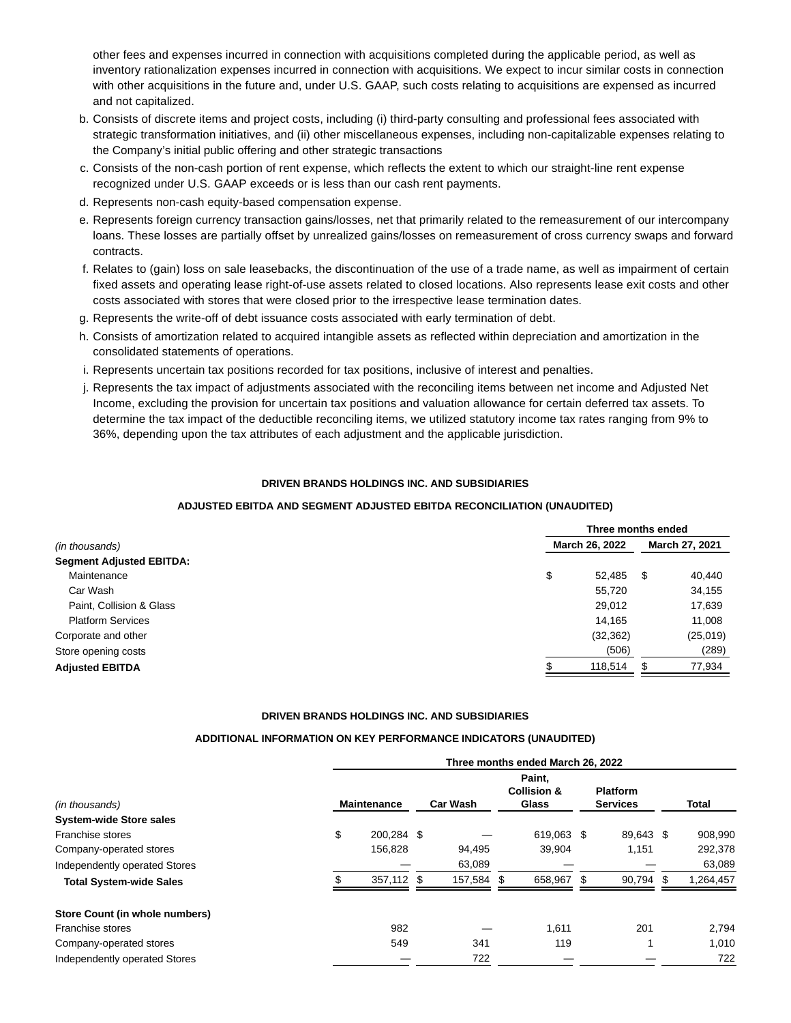other fees and expenses incurred in connection with acquisitions completed during the applicable period, as well as inventory rationalization expenses incurred in connection with acquisitions. We expect to incur similar costs in connection with other acquisitions in the future and, under U.S. GAAP, such costs relating to acquisitions are expensed as incurred and not capitalized.

- b. Consists of discrete items and project costs, including (i) third-party consulting and professional fees associated with strategic transformation initiatives, and (ii) other miscellaneous expenses, including non-capitalizable expenses relating to the Company's initial public offering and other strategic transactions
- c. Consists of the non-cash portion of rent expense, which reflects the extent to which our straight-line rent expense recognized under U.S. GAAP exceeds or is less than our cash rent payments.
- d. Represents non-cash equity-based compensation expense.
- e. Represents foreign currency transaction gains/losses, net that primarily related to the remeasurement of our intercompany loans. These losses are partially offset by unrealized gains/losses on remeasurement of cross currency swaps and forward contracts.
- f. Relates to (gain) loss on sale leasebacks, the discontinuation of the use of a trade name, as well as impairment of certain fixed assets and operating lease right-of-use assets related to closed locations. Also represents lease exit costs and other costs associated with stores that were closed prior to the irrespective lease termination dates.
- g. Represents the write-off of debt issuance costs associated with early termination of debt.
- h. Consists of amortization related to acquired intangible assets as reflected within depreciation and amortization in the consolidated statements of operations.
- i. Represents uncertain tax positions recorded for tax positions, inclusive of interest and penalties.
- j. Represents the tax impact of adjustments associated with the reconciling items between net income and Adjusted Net Income, excluding the provision for uncertain tax positions and valuation allowance for certain deferred tax assets. To determine the tax impact of the deductible reconciling items, we utilized statutory income tax rates ranging from 9% to 36%, depending upon the tax attributes of each adjustment and the applicable jurisdiction.

## **DRIVEN BRANDS HOLDINGS INC. AND SUBSIDIARIES**

### **ADJUSTED EBITDA AND SEGMENT ADJUSTED EBITDA RECONCILIATION (UNAUDITED)**

|                                 | Three months ended |                |                |          |  |  |  |
|---------------------------------|--------------------|----------------|----------------|----------|--|--|--|
| (in thousands)                  |                    | March 26, 2022 | March 27, 2021 |          |  |  |  |
| <b>Segment Adjusted EBITDA:</b> |                    |                |                |          |  |  |  |
| Maintenance                     | \$                 | 52.485         | S              | 40,440   |  |  |  |
| Car Wash                        |                    | 55,720         |                | 34,155   |  |  |  |
| Paint, Collision & Glass        |                    | 29,012         |                | 17,639   |  |  |  |
| <b>Platform Services</b>        |                    | 14,165         |                | 11,008   |  |  |  |
| Corporate and other             |                    | (32, 362)      |                | (25,019) |  |  |  |
| Store opening costs             |                    | (506)          |                | (289)    |  |  |  |
| <b>Adjusted EBITDA</b>          |                    | 118,514        |                | 77,934   |  |  |  |

#### **DRIVEN BRANDS HOLDINGS INC. AND SUBSIDIARIES**

### **ADDITIONAL INFORMATION ON KEY PERFORMANCE INDICATORS (UNAUDITED)**

|                                | Three months ended March 26, 2022 |                    |  |                 |  |                                           |    |                                    |  |           |
|--------------------------------|-----------------------------------|--------------------|--|-----------------|--|-------------------------------------------|----|------------------------------------|--|-----------|
| (in thousands)                 |                                   | <b>Maintenance</b> |  | <b>Car Wash</b> |  | Paint.<br><b>Collision &amp;</b><br>Glass |    | <b>Platform</b><br><b>Services</b> |  | Total     |
| <b>System-wide Store sales</b> |                                   |                    |  |                 |  |                                           |    |                                    |  |           |
| Franchise stores               | \$                                | 200.284 \$         |  |                 |  | 619.063 \$                                |    | 89,643 \$                          |  | 908,990   |
| Company-operated stores        |                                   | 156,828            |  | 94.495          |  | 39,904                                    |    | 1,151                              |  | 292,378   |
| Independently operated Stores  |                                   |                    |  | 63,089          |  |                                           |    |                                    |  | 63,089    |
| <b>Total System-wide Sales</b> |                                   | 357,112 \$         |  | 157.584 \$      |  | 658.967                                   | \$ | 90,794 \$                          |  | 1,264,457 |
| Store Count (in whole numbers) |                                   |                    |  |                 |  |                                           |    |                                    |  |           |
| Franchise stores               |                                   | 982                |  |                 |  | 1,611                                     |    | 201                                |  | 2,794     |
| Company-operated stores        |                                   | 549                |  | 341             |  | 119                                       |    |                                    |  | 1,010     |
| Independently operated Stores  |                                   |                    |  | 722             |  |                                           |    |                                    |  | 722       |